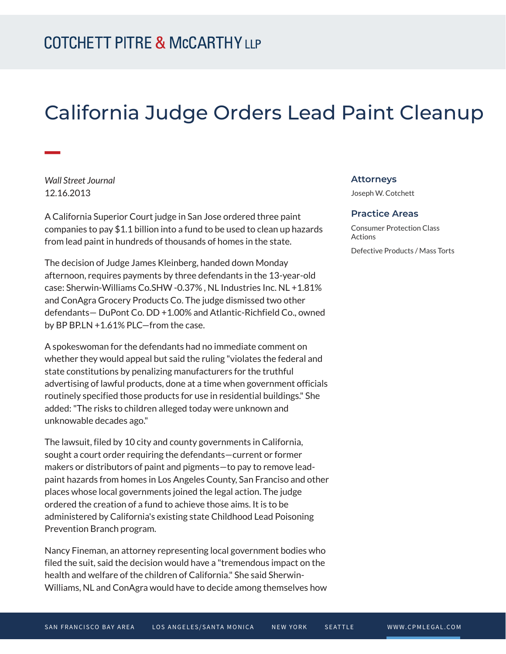## California Judge Orders Lead Paint Cleanup

*Wall Street Journal* 12.16.2013

**William** 

A California Superior Court judge in San Jose ordered three paint companies to pay \$1.1 billion into a fund to be used to clean up hazards from lead paint in hundreds of thousands of homes in the state.

The decision of Judge James Kleinberg, handed down Monday afternoon, requires payments by three defendants in the 13-year-old case: Sherwin-Williams Co.SHW -0.37% , NL Industries Inc. NL +1.81% and ConAgra Grocery Products Co. The judge dismissed two other defendants— DuPont Co. DD +1.00% and Atlantic-Richfield Co., owned by BP BP.LN +1.61% PLC—from the case.

A spokeswoman for the defendants had no immediate comment on whether they would appeal but said the ruling "violates the federal and state constitutions by penalizing manufacturers for the truthful advertising of lawful products, done at a time when government officials routinely specified those products for use in residential buildings." She added: "The risks to children alleged today were unknown and unknowable decades ago."

The lawsuit, filed by 10 city and county governments in California, sought a court order requiring the defendants—current or former makers or distributors of paint and pigments—to pay to remove leadpaint hazards from homes in Los Angeles County, San Franciso and other places whose local governments joined the legal action. The judge ordered the creation of a fund to achieve those aims. It is to be administered by California's existing state Childhood Lead Poisoning Prevention Branch program.

Nancy Fineman, an attorney representing local government bodies who filed the suit, said the decision would have a "tremendous impact on the health and welfare of the children of California." She said Sherwin-Williams, NL and ConAgra would have to decide among themselves how

## **Attorneys**

Joseph W. Cotchett

## **Practice Areas**

Consumer Protection Class **Actions** Defective Products / Mass Torts